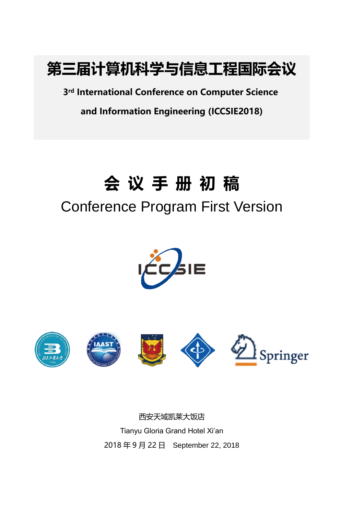

**3rd International Conference on Computer Science**

**and Information Engineering (ICCSIE2018)**

# **会 议 手 册 初 稿**

# Conference Program First Version











西安天域凯莱大饭店 Tianyu Gloria Grand Hotel Xi'an 2018 年 9 月 22 日 September 22, 2018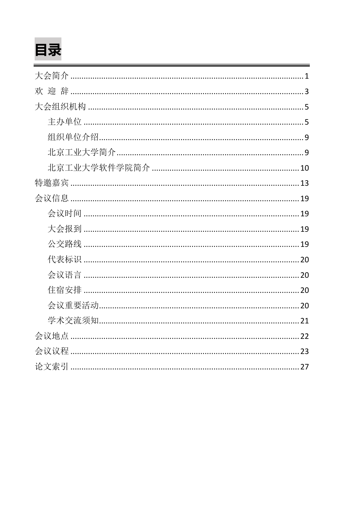# 目录

| 欢 |
|---|
|   |
|   |
|   |
|   |
|   |
|   |
|   |
|   |
|   |
|   |
|   |
|   |
|   |
|   |
|   |
|   |
|   |
|   |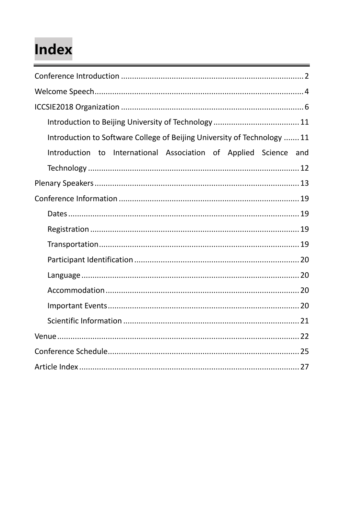# Index

| Introduction to Software College of Beijing University of Technology  11 |
|--------------------------------------------------------------------------|
| Introduction to International Association of Applied Science and         |
|                                                                          |
|                                                                          |
|                                                                          |
|                                                                          |
|                                                                          |
|                                                                          |
|                                                                          |
|                                                                          |
|                                                                          |
|                                                                          |
|                                                                          |
|                                                                          |
|                                                                          |
|                                                                          |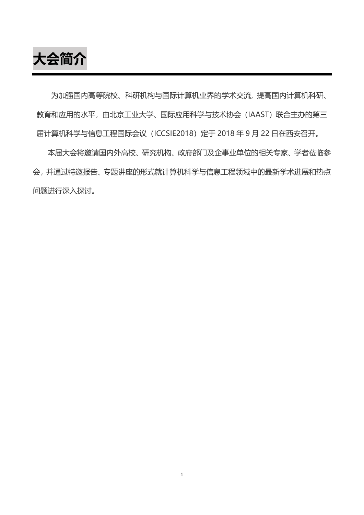**大会简介**

为加强国内高等院校、科研机构与国际计算机业界的学术交流, 提高国内计算机科研、 教育和应用的水平,由北京工业大学、国际应用科学与技术协会(IAAST)联合主办的第三 届计算机科学与信息工程国际会议 (ICCSIE2018) 定于 2018 年 9 月 22 日在西安召开。

本届大会将邀请国内外高校、研究机构、政府部门及企事业单位的相关专家、学者莅临参 会,并通过特邀报告、专题讲座的形式就计算机科学与信息工程领域中的最新学术进展和热点 问题进行深入探讨。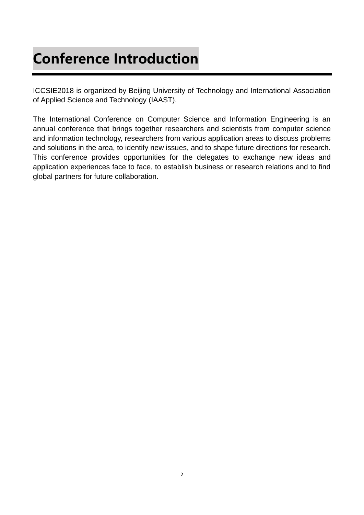## **Conference Introduction**

ICCSIE2018 is organized by Beijing University of Technology and International Association of Applied Science and Technology (IAAST).

The International Conference on Computer Science and Information Engineering is an annual conference that brings together researchers and scientists from computer science and information technology, researchers from various application areas to discuss problems and solutions in the area, to identify new issues, and to shape future directions for research. This conference provides opportunities for the delegates to exchange new ideas and application experiences face to face, to establish business or research relations and to find global partners for future collaboration.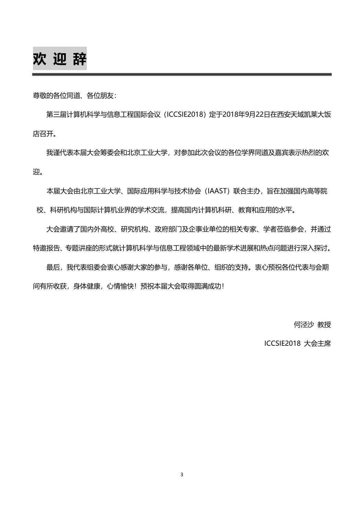## **欢 迎 辞**

尊敬的各位同道、各位朋友:

第三届计算机科学与信息工程国际会议 (ICCSIE2018) 定于2018年9月22日在西安天域凯莱大饭 店召开。

我谨代表本届大会筹委会和北京工业大学,对参加此次会议的各位学界同道及嘉宾表示热烈的欢 迎。

本届大会由北京工业大学、国际应用科学与技术协会(IAAST)联合主办,旨在加强国内高等院 校、科研机构与国际计算机业界的学术交流,提高国内计算机科研、教育和应用的水平。

大会邀请了国内外高校、研究机构、政府部门及企事业单位的相关专家、学者莅临参会,并通过 特邀报告、专题讲座的形式就计算机科学与信息工程领域中的最新学术进展和热点问题进行深入探讨。

最后,我代表组委会衷心感谢大家的参与,感谢各单位、组织的支持。衷心预祝各位代表与会期 间有所收获,身体健康,心情愉快!预祝本届大会取得圆满成功!

何泾沙 教授

ICCSIE2018 大会主席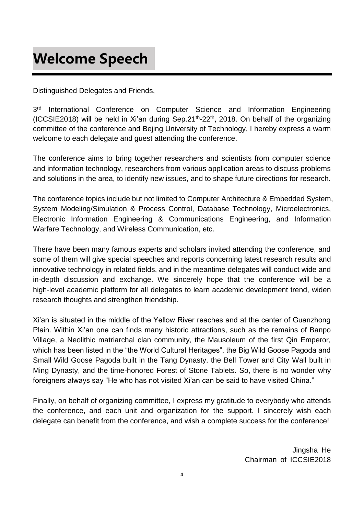## **Welcome Speech**

Distinguished Delegates and Friends,

 $3<sup>rd</sup>$ International Conference on Computer Science and Information Engineering (ICCSIE2018) will be held in Xi'an during Sep.21<sup>th</sup>-22<sup>th</sup>, 2018. On behalf of the organizing committee of the conference and Bejing University of Technology, I hereby express a warm welcome to each delegate and guest attending the conference.

The conference aims to bring together researchers and scientists from computer science and information technology, researchers from various application areas to discuss problems and solutions in the area, to identify new issues, and to shape future directions for research.

The conference topics include but not limited to Computer Architecture & Embedded System, System Modeling/Simulation & Process Control, Database Technology, Microelectronics, Electronic Information Engineering & Communications Engineering, and Information Warfare Technology, and Wireless Communication, etc.

There have been many famous experts and scholars invited attending the conference, and some of them will give special speeches and reports concerning latest research results and innovative technology in related fields, and in the meantime delegates will conduct wide and in-depth discussion and exchange. We sincerely hope that the conference will be a high-level academic platform for all delegates to learn academic development trend, widen research thoughts and strengthen friendship.

Xi'an is situated in the middle of the Yellow River reaches and at the center of Guanzhong Plain. Within Xi'an one can finds many historic attractions, such as the remains of Banpo Village, a Neolithic matriarchal clan community, the Mausoleum of the first Qin Emperor, which has been listed in the "the World Cultural Heritages", the Big Wild Goose Pagoda and Small Wild Goose Pagoda built in the Tang Dynasty, the Bell Tower and City Wall built in Ming Dynasty, and the time-honored Forest of Stone Tablets. So, there is no wonder why foreigners always say "He who has not visited Xi'an can be said to have visited China."

Finally, on behalf of organizing committee, I express my gratitude to everybody who attends the conference, and each unit and organization for the support. I sincerely wish each delegate can benefit from the conference, and wish a complete success for the conference!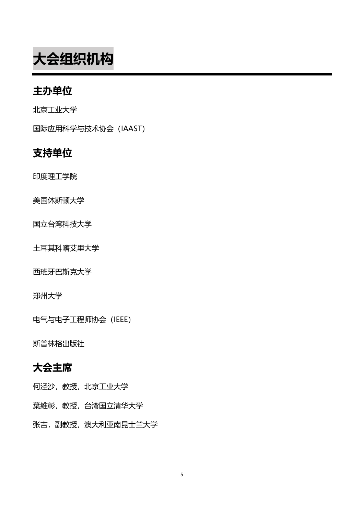**大会组织机构**

### **主办单位**

北京工业大学

国际应用科学与技术协会(IAAST)

### **支持单位**

印度理工学院

美国休斯顿大学

国立台湾科技大学

土耳其科喀艾里大学

西班牙巴斯克大学

郑州大学

电气与电子工程师协会(IEEE)

斯普林格出版社

### **大会主席**

何泾沙,教授,北京工业大学

葉維彰,教授,台湾国立清华大学

张吉,副教授,澳大利亚南昆士兰大学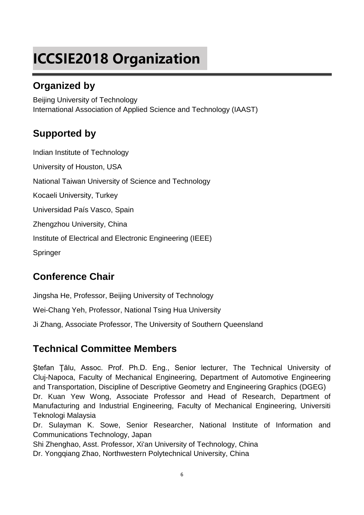# **ICCSIE2018 Organization**

### **Organized by**

Beijing University of Technology International Association of Applied Science and Technology (IAAST)

### **Supported by**

Indian Institute of Technology University of Houston, USA National Taiwan University of Science and Technology Kocaeli University, Turkey Universidad País Vasco, Spain Zhengzhou University, China Institute of Electrical and Electronic Engineering (IEEE) Springer

### **Conference Chair**

Jingsha He, Professor, Beijing University of Technology

Wei-Chang Yeh, Professor, National Tsing Hua University

Ji Zhang, Associate Professor, The University of Southern Queensland

### **Technical Committee Members**

Ştefan Ţălu, Assoc. Prof. Ph.D. Eng., Senior lecturer, The Technical University of Cluj-Napoca, Faculty of Mechanical Engineering, Department of Automotive Engineering and Transportation, Discipline of Descriptive Geometry and Engineering Graphics (DGEG) Dr. Kuan Yew Wong, Associate Professor and Head of Research, Department of Manufacturing and Industrial Engineering, Faculty of Mechanical Engineering, Universiti Teknologi Malaysia

Dr. Sulayman K. Sowe, Senior Researcher, National Institute of Information and Communications Technology, Japan

Shi Zhenghao, Asst. Professor, Xi'an University of Technology, China

Dr. Yongqiang Zhao, Northwestern Polytechnical University, China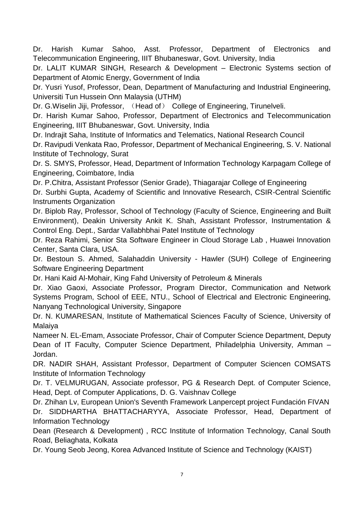Dr. Harish Kumar Sahoo, Asst. Professor, Department of Electronics and Telecommunication Engineering, IIIT Bhubaneswar, Govt. University, India

Dr. LALIT KUMAR SINGH, Research & Development – Electronic Systems section of Department of Atomic Energy, Government of India

Dr. Yusri Yusof, Professor, Dean, Department of Manufacturing and Industrial Engineering, Universiti Tun Hussein Onn Malaysia (UTHM)

Dr. G.Wiselin Jiji, Professor, (Head of) College of Engineering, Tirunelveli.

Dr. Harish Kumar Sahoo, Professor, Department of Electronics and Telecommunication Engineering, IIIT Bhubaneswar, Govt. University, India

Dr. Indrajit Saha, Institute of Informatics and Telematics, National Research Council

Dr. Ravipudi Venkata Rao, Professor, Department of Mechanical Engineering, S. V. National Institute of Technology, Surat

Dr. S. SMYS, Professor, Head, Department of Information Technology Karpagam College of Engineering, Coimbatore, India

Dr. P.Chitra, Assistant Professor (Senior Grade), Thiagarajar College of Engineering

Dr. Surbhi Gupta, Academy of Scientific and Innovative Research, CSIR-Central Scientific Instruments Organization

Dr. Biplob Ray, Professor, School of Technology (Faculty of Science, Engineering and Built Environment), Deakin University Ankit K. Shah, Assistant Professor, Instrumentation & Control Eng. Dept., Sardar Vallabhbhai Patel Institute of Technology

Dr. Reza Rahimi, Senior Sta Software Engineer in Cloud Storage Lab , Huawei Innovation Center, Santa Clara, USA.

Dr. Bestoun S. Ahmed, Salahaddin University - Hawler (SUH) College of Engineering Software Engineering Department

Dr. Hani Kaid Al-Mohair, King Fahd University of Petroleum & Minerals

Dr. Xiao Gaoxi, Associate Professor, Program Director, Communication and Network Systems Program, School of EEE, NTU., School of Electrical and Electronic Engineering, Nanyang Technological University, Singapore

Dr. N. KUMARESAN, Institute of Mathematical Sciences Faculty of Science, University of Malaiya

Nameer N. EL-Emam, Associate Professor, Chair of Computer Science Department, Deputy Dean of IT Faculty, Computer Science Department, Philadelphia University, Amman – Jordan.

DR. NADIR SHAH, Assistant Professor, Department of Computer Sciencen COMSATS Institute of Information Technology

Dr. T. VELMURUGAN, Associate professor, PG & Research Dept. of Computer Science, Head, Dept. of Computer Applications, D. G. Vaishnav College

Dr. Zhihan Lv, European Union's Seventh Framework Lanpercept project Fundación FIVAN Dr. SIDDHARTHA BHATTACHARYYA, Associate Professor, Head, Department of Information Technology

Dean (Research & Development) , RCC Institute of Information Technology, Canal South Road, Beliaghata, Kolkata

Dr. Young Seob Jeong, Korea Advanced Institute of Science and Technology (KAIST)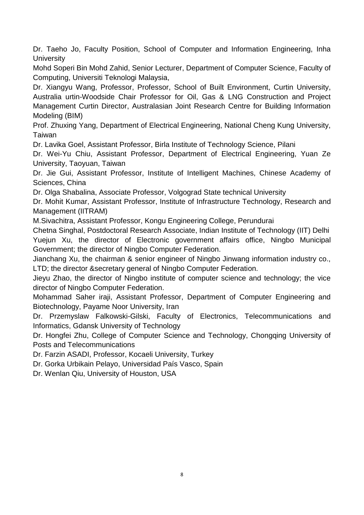Dr. Taeho Jo, Faculty Position, School of Computer and Information Engineering, Inha **University** 

Mohd Soperi Bin Mohd Zahid, Senior Lecturer, Department of Computer Science, Faculty of Computing, Universiti Teknologi Malaysia,

Dr. Xiangyu Wang, Professor, Professor, School of Built Environment, Curtin University, Australia urtin-Woodside Chair Professor for Oil, Gas & LNG Construction and Project Management Curtin Director, Australasian Joint Research Centre for Building Information Modeling (BIM)

Prof. Zhuxing Yang, Department of Electrical Engineering, National Cheng Kung University, Taiwan

Dr. Lavika Goel, Assistant Professor, Birla Institute of Technology Science, Pilani

Dr. Wei-Yu Chiu, Assistant Professor, Department of Electrical Engineering, Yuan Ze University, Taoyuan, Taiwan

Dr. Jie Gui, Assistant Professor, Institute of Intelligent Machines, Chinese Academy of Sciences, China

Dr. Olga Shabalina, Associate Professor, Volgograd State technical University

Dr. Mohit Kumar, Assistant Professor, Institute of Infrastructure Technology, Research and Management (IITRAM)

M.Sivachitra, Assistant Professor, Kongu Engineering College, Perundurai

Chetna Singhal, Postdoctoral Research Associate, Indian Institute of Technology (IIT) Delhi Yuejun Xu, the director of Electronic government affairs office, Ningbo Municipal Government; the director of Ningbo Computer Federation.

Jianchang Xu, the chairman & senior engineer of Ningbo Jinwang information industry co., LTD; the director &secretary general of Ningbo Computer Federation.

Jieyu Zhao, the director of Ningbo institute of computer science and technology; the vice director of Ningbo Computer Federation.

Mohammad Saher iraji, Assistant Professor, Department of Computer Engineering and Biotechnology, Payame Noor University, Iran

Dr. Przemyslaw Falkowski-Gilski, Faculty of Electronics, Telecommunications and Informatics, Gdansk University of Technology

Dr. Hongfei Zhu, College of Computer Science and Technology, Chongqing University of Posts and Telecommunications

Dr. Farzin ASADI, Professor, Kocaeli University, Turkey

Dr. Gorka Urbikain Pelayo, Universidad País Vasco, Spain

Dr. Wenlan Qiu, University of Houston, USA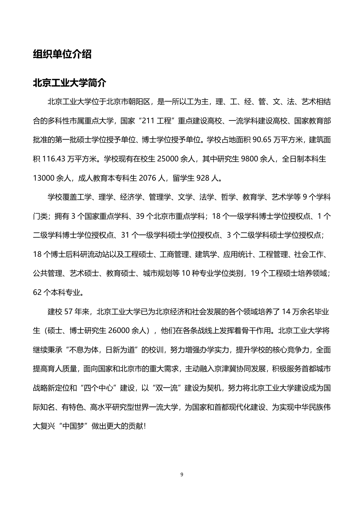#### **组织单位介绍**

#### **北京工业大学简介**

北京工业大学位于北京市朝阳区,是一所以工为主,理、工、经、管、文、法、艺术相结 合的多科性市属重点大学,国家"211 工程"重点建设高校、一流学科建设高校、国家教育部 批准的第一批硕士学位授予单位授予单位。学校占地面积 90.65 万平方米, 建筑面 积 116.43 万平方米。学校现有在校生 25000 余人, 其中研究生 9800 余人, 全日制本科生 13000 余人,成人教育本专科生 2076 人,留学生 928 人。

学校覆盖工学、理学、经济学、管理学、文学、法学、哲学、教育学、艺术学等 9 个学科 门类;拥有 3 个国家重点学科、39 个北京市重点学科;18 个一级学科博士学位授权点、1 个 二级学科博士学位授权点、31 个一级学科硕士学位授权点、3 个二级学科硕士学位授权点; 18 个博士后科研流动站以及工程硕士、工商管理、建筑学、应用统计、工程管理、社会工作、 公共管理、艺术硕士、教育硕士、城市规划等 10 种专业学位类别,19 个工程硕士培养领域; 62 个本科专业。

建校 57 年来,北京工业大学已为北京经济和社会发展的各个领域培养了 14 万余名毕业 生(硕士、博士研究生 26000 余人),他们在各条战线上发挥着骨干作用。北京工业大学将 继续秉承"不息为体,日新为道"的校训,努力增强办学实力,提升学校的核心竞争力,全面 提高育人质量,面向国家和北京市的重大需求,主动融入京津冀协同发展,积极服务首都城市 战略新定位和"四个中心"建设,以"双一流"建设为契机,努力将北京工业大学建设成为国 际知名、有特色、高水平研究型世界一流大学,为国家和首都现代化建设、为实现中华民族伟 大复兴"中国梦"做出更大的贡献!

9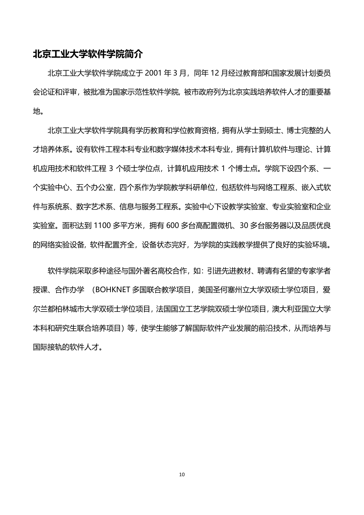#### **北京工业大学软件学院简介**

北京工业大学软件学院成立于 2001 年 3 月, 同年 12 月经过教育部和国家发展计划委员 会论证和评审,被批准[为国家示范性软件学院](http://baike.sogou.com/lemma/ShowInnerLink.htm?lemmaId=54223667&ss_c=ssc.citiao.link), 被市政府列为北京实践培养软件人才的重要基 地。

北京工业大学软件学院具有学历教育和学位教育资格,拥有从学士到硕士、博士完整的人 才培养体系。设有软件工程本科专业[和数字媒体技术本](http://baike.sogou.com/lemma/ShowInnerLink.htm?lemmaId=1638016&ss_c=ssc.citiao.link)科专业,拥[有计算机软件与理论](http://baike.sogou.com/lemma/ShowInnerLink.htm?lemmaId=359678&ss_c=ssc.citiao.link)[、计算](http://baike.sogou.com/lemma/ShowInnerLink.htm?lemmaId=853921&ss_c=ssc.citiao.link) [机应用技术和](http://baike.sogou.com/lemma/ShowInnerLink.htm?lemmaId=853921&ss_c=ssc.citiao.link)软件工程 3 个硕士学位点,计算机应用技术 1 个博士点。学院下设四个系、一 个实验中心、五个办公室,四个系作为学院教学科研单位,包括软件与网络工程系[、嵌入式软](http://baike.sogou.com/lemma/ShowInnerLink.htm?lemmaId=7652612&ss_c=ssc.citiao.link) [件与](http://baike.sogou.com/lemma/ShowInnerLink.htm?lemmaId=7652612&ss_c=ssc.citiao.link)系统系、数字艺术系、信息与服务工程系。实验中心下设教学实验室、专业实验室和企业 实验室。面积达到 1100 多平方米,拥有 600 多台高配置微机、30 多台服务器以及品质优良 的网络实验设备, [软件配置齐](http://baike.sogou.com/lemma/ShowInnerLink.htm?lemmaId=71032789&ss_c=ssc.citiao.link)全,设备状态完好,为学院的实践教学提供了良好的实验环境。

软件学院采取多种途径与国外著名高校合作,如:引进先进教材、聘请有名望的专家学者 授课、合作办学 (BOHKNET 多国联合教学项目,美[国圣何塞州立大学双](http://baike.sogou.com/lemma/ShowInnerLink.htm?lemmaId=62921731&ss_c=ssc.citiao.link)硕士学位项目,爱 尔[兰都柏林城市大学双](http://baike.sogou.com/lemma/ShowInnerLink.htm?lemmaId=10589096&ss_c=ssc.citiao.link)硕士学位项目[,法国国立工艺学院双](http://baike.sogou.com/lemma/ShowInnerLink.htm?lemmaId=55228528&ss_c=ssc.citiao.link)硕士学位项目[,澳大利亚国立大学](http://baike.sogou.com/lemma/ShowInnerLink.htm?lemmaId=87185&ss_c=ssc.citiao.link) 本科和研究[生联合培养项](http://baike.sogou.com/lemma/ShowInnerLink.htm?lemmaId=8330694&ss_c=ssc.citiao.link)目)等,使学生能够了解国际软件产业发展[的前沿技术,](http://baike.sogou.com/lemma/ShowInnerLink.htm?lemmaId=322487&ss_c=ssc.citiao.link)从而培养与 国际接轨的软件人才。

10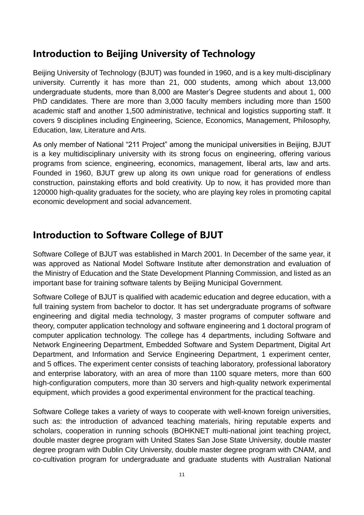### **Introduction to Beijing University of Technology**

Beijing University of Technology (BJUT) was founded in 1960, and is a key multi-disciplinary university. Currently it has more than 21, 000 students, among which about 13,000 undergraduate students, more than 8,000 are Master's Degree students and about 1, 000 PhD candidates. There are more than 3,000 faculty members including more than 1500 academic staff and another 1,500 administrative, technical and logistics supporting staff. It covers 9 disciplines including Engineering, Science, Economics, Management, Philosophy, Education, law, Literature and Arts.

As only member of National "211 Project" among the municipal universities in Beijing, BJUT is a key multidisciplinary university with its strong focus on engineering, offering various programs from science, engineering, economics, management, liberal arts, law and arts. Founded in 1960, BJUT grew up along its own unique road for generations of endless construction, painstaking efforts and bold creativity. Up to now, it has provided more than 120000 high-quality graduates for the society, who are playing key roles in promoting capital economic development and social advancement.

### **Introduction to Software College of BJUT**

Software College of BJUT was established in March 2001. In December of the same year, it was approved as National Model Software Institute after demonstration and evaluation of the Ministry of Education and the State Development Planning Commission, and listed as an important base for training software talents by Beijing Municipal Government.

Software College of BJUT is qualified with academic education and degree education, with a full training system from bachelor to doctor. It has set undergraduate programs of software engineering and digital media technology, 3 master programs of computer software and theory, computer application technology and software engineering and 1 doctoral program of computer application technology. The college has 4 departments, including Software and Network Engineering Department, Embedded Software and System Department, Digital Art Department, and Information and Service Engineering Department, 1 experiment center, and 5 offices. The experiment center consists of teaching laboratory, professional laboratory and enterprise laboratory, with an area of more than 1100 square meters, more than 600 high-configuration computers, more than 30 servers and high-quality network experimental equipment, which provides a good experimental environment for the practical teaching.

Software College takes a variety of ways to cooperate with well-known foreign universities, such as: the introduction of advanced teaching materials, hiring reputable experts and scholars, cooperation in running schools (BOHKNET multi-national joint teaching project, double master degree program with United States San Jose State University, double master degree program with Dublin City University, double master degree program with CNAM, and co-cultivation program for undergraduate and graduate students with Australian National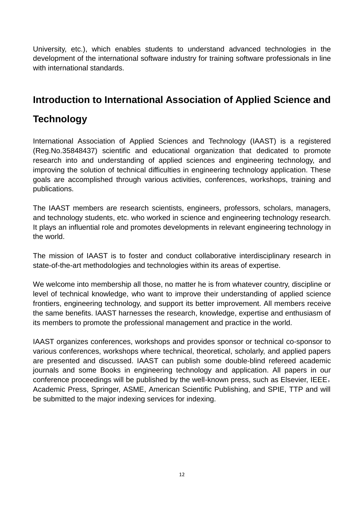University, etc.), which enables students to understand advanced technologies in the development of the international software industry for training software professionals in line with international standards.

### **Introduction to International Association of Applied Science and**

### **Technology**

International Association of Applied Sciences and Technology (IAAST) is a registered (Reg.No.35848437) scientific and educational organization that dedicated to promote research into and understanding of applied sciences and engineering technology, and improving the solution of technical difficulties in engineering technology application. These goals are accomplished through various activities, conferences, workshops, training and publications.

The IAAST members are research scientists, engineers, professors, scholars, managers, and technology students, etc. who worked in science and engineering technology research. It plays an influential role and promotes developments in relevant engineering technology in the world.

The mission of IAAST is to foster and conduct collaborative interdisciplinary research in state-of-the-art methodologies and technologies within its areas of expertise.

We welcome into membership all those, no matter he is from whatever country, discipline or level of technical knowledge, who want to improve their understanding of applied science frontiers, engineering technology, and support its better improvement. All members receive the same benefits. IAAST harnesses the research, knowledge, expertise and enthusiasm of its members to promote the professional management and practice in the world.

IAAST organizes conferences, workshops and provides sponsor or technical co-sponsor to various conferences, workshops where technical, theoretical, scholarly, and applied papers are presented and discussed. IAAST can publish some double-blind refereed academic journals and some Books in engineering technology and application. All papers in our conference proceedings will be published by the well-known press, such as Elsevier, IEEE, Academic Press, Springer, ASME, American Scientific Publishing, and SPIE, TTP and will be submitted to the major indexing services for indexing.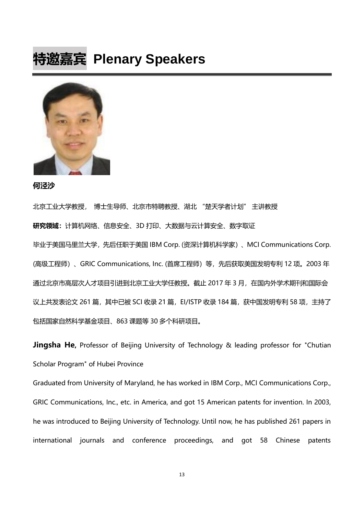## **特邀嘉宾 Plenary Speakers**



**何泾沙**

北京工业大学教授, 博士生导师、北京市特聘教授、湖北 "楚天学者计划" 主讲教授 **研究领域:**计算机网络、信息安全、3D 打印、大数据与云计算安全、数字取证 毕业于美国马里兰大学,先后任职于美国 IBM Corp. (资深计算机科学家)、MCI Communications Corp. (高级工程师)、GRIC Communications, Inc. (首席工程师)等, 先后获取美国发明专利 12 项。2003 年 通过北京市高层次人才项目引进到北京工业大学任教授。截止 2017 年 3 月,在国内外学术期刊和国际会 议上共发表论文 261 篇, 其中已被 SCI 收录 21 篇, EI/ISTP 收录 184 篇, 获中国发明专利 58 项, 主持了 包括国家自然科学基金项目、863 课题等 30 多个科研项目。

**Jingsha He**, Professor of Beijing University of Technology & leading professor for "Chutian Scholar Program" of Hubei Province

Graduated from University of Maryland, he has worked in IBM Corp., MCI Communications Corp., GRIC Communications, Inc., etc. in America, and got 15 American patents for invention. In 2003, he was introduced to Beijing University of Technology. Until now, he has published 261 papers in international journals and conference proceedings, and got 58 Chinese patents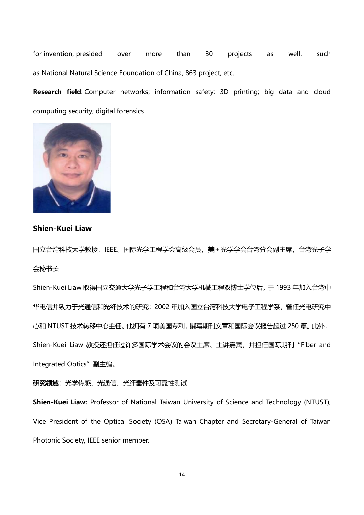for invention, presided over more than 30 projects as well, such as National Natural Science Foundation of China, 863 project, etc.

**Research field**: Computer networks; information safety; 3D printing; big data and cloud computing security; digital forensics



#### **Shien-Kuei Liaw**

国立台湾科技大学教授, IEEE、国际光学工程学会高级会员, 美国光学学会台湾分会副主席, 台湾光子学 会秘书长

Shien-Kuei Liaw 取得国立交通大学光子学工程和台湾大学机械工程双博士学位后,于 1993 年加入台湾中 华电信并致力于光通信和光纤技术的研究;2002 年加入国立台湾科技大学电子工程学系,曾任光电研究中 心和 NTUST 技术转移中心主任。他拥有 7 项美国专利, 撰写期刊文章和国际会议报告超过 250 篇。此外, Shien-Kuei Liaw 教授还担任过许多国际学术会议的会议主席、主讲嘉宾,并担任国际期刊"Fiber and Integrated Optics"副主编。

**研究领域**:光学传感、光通信、光纤器件及可靠性测试

**Shien-Kuei Liaw:** Professor of National Taiwan University of Science and Technology (NTUST), Vice President of the Optical Society (OSA) Taiwan Chapter and Secretary-General of Taiwan Photonic Society, IEEE senior member.

14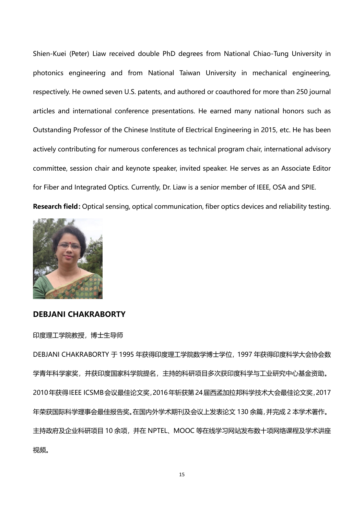Shien-Kuei (Peter) Liaw received double PhD degrees from National Chiao-Tung University in photonics engineering and from National Taiwan University in mechanical engineering, respectively. He owned seven U.S. patents, and authored or coauthored for more than 250 journal articles and international conference presentations. He earned many national honors such as Outstanding Professor of the Chinese Institute of Electrical Engineering in 2015, etc. He has been actively contributing for numerous conferences as technical program chair, international advisory committee, session chair and keynote speaker, invited speaker. He serves as an Associate Editor for Fiber and Integrated Optics. Currently, Dr. Liaw is a senior member of IEEE, OSA and SPIE. **Research field:**Optical sensing, optical communication, fiber optics devices and reliability testing.



#### **DEBJANI CHAKRABORTY**

印度理工学院教授,博士生导师

DEBJANI CHAKRABORTY 于 1995 年获得印度理工学院数学博士学位,1997 年获得印度科学大会协会数 学青年科学家奖,并获印度国家科学院提名,主持的科研项目多次获印度科学与工业研究中心基金资助。 2010年获得IEEE ICSMB会议最佳论文奖,2016年斩获第24届西孟加拉邦科学技术大会最佳论文奖,2017 年荣获国际科学理事会最佳报告奖。在国内外学术期刊及会议上发表论文 130 余篇,并完成 2 本学术著作。 主持政府及企业科研项目 10 余项,并在 NPTEL、MOOC 等在线学习网站发布数十项网络课程及学术讲座 视频。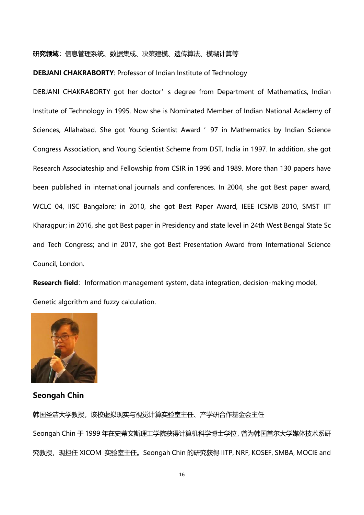#### **研究领域**:信息管理系统、数据集成、决策建模、遗传算法、模糊计算等

#### **DEBJANI CHAKRABORTY**: Professor of Indian Institute of Technology

DEBJANI CHAKRABORTY got her doctor's degree from Department of Mathematics, Indian Institute of Technology in 1995. Now she is Nominated Member of Indian National Academy of Sciences, Allahabad. She got Young Scientist Award '97 in Mathematics by Indian Science Congress Association, and Young Scientist Scheme from DST, India in 1997. In addition, she got Research Associateship and Fellowship from CSIR in 1996 and 1989. More than 130 papers have been published in international journals and conferences. In 2004, she got Best paper award, WCLC 04, IISC Bangalore; in 2010, she got Best Paper Award, IEEE ICSMB 2010, SMST IIT Kharagpur; in 2016, she got Best paper in Presidency and state level in 24th West Bengal State Sc and Tech Congress; and in 2017, she got Best Presentation Award from International Science Council, London.

**Research field**: Information management system, data integration, decision-making model, Genetic algorithm and fuzzy calculation.



#### **Seongah Chin**

韩国圣洁大学教授,该校虚拟现实与视觉计算实验室主任、产学研合作基金会主任 Seongah Chin 于 1999 年在史蒂文斯理工学院获得计算机科学博士学位,曾为韩国首尔大学媒体技术系研 究教授, 现担任 XICOM 实验室主任。Seongah Chin 的研究获得 IITP, NRF, KOSEF, SMBA, MOCIE and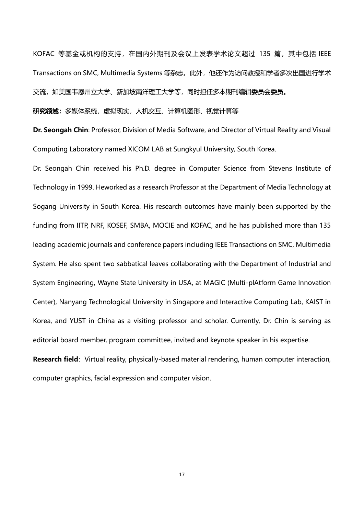KOFAC 等基金或机构的支持, 在国内外期刊及会议上发表学术论文超过 135 篇, 其中包括 IEEE Transactions on SMC, Multimedia Systems 等杂志。此外,他还作为访问教授和学者多次出国进行学术 交流,如美国韦恩州立大学、新加坡南洋理工大学等,同时担任多本期刊编辑委员会委员。

**研究领域:**多媒体系统,虚拟现实,人机交互、计算机图形、视觉计算等

**Dr. Seongah Chin**: Professor, Division of Media Software, and Director of Virtual Reality and Visual Computing Laboratory named XICOM LAB at Sungkyul University, South Korea.

Dr. Seongah Chin received his Ph.D. degree in Computer Science from Stevens Institute of Technology in 1999. Heworked as a research Professor at the Department of Media Technology at Sogang University in South Korea. His research outcomes have mainly been supported by the funding from IITP, NRF, KOSEF, SMBA, MOCIE and KOFAC, and he has published more than 135 leading academic journals and conference papers including IEEE Transactions on SMC, Multimedia System. He also spent two sabbatical leaves collaborating with the Department of Industrial and System Engineering, Wayne State University in USA, at MAGIC (Multi-plAtform Game Innovation Center), Nanyang Technological University in Singapore and Interactive Computing Lab, KAIST in Korea, and YUST in China as a visiting professor and scholar. Currently, Dr. Chin is serving as editorial board member, program committee, invited and keynote speaker in his expertise.

**Research field**: Virtual reality, physically-based material rendering, human computer interaction, computer graphics, facial expression and computer vision.

17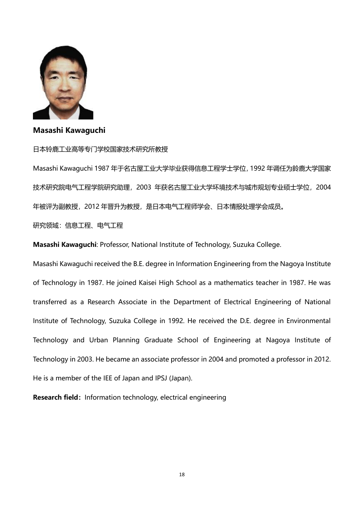

#### **Masashi Kawaguchi**

#### 日本铃鹿工业高等专门学校国家技术研究所教授

Masashi Kawaguchi 1987 年于名古屋工业大学毕业获得信息工程学士学位,1992 年调任为鈴鹿大学国家 技术研究院电气工程学院研究助理,2003 年获名古屋工业大学环境技术与城市规划专业硕士学位,2004 年被评为副教授,2012 年晋升为教授,是日本电气工程师学会、日本情报处理学会成员。

研究领域:信息工程、电气工程

**Masashi Kawaguchi**: Professor, National Institute of Technology, Suzuka College.

Masashi Kawaguchi received the B.E. degree in Information Engineering from the Nagoya Institute of Technology in 1987. He joined Kaisei High School as a mathematics teacher in 1987. He was transferred as a Research Associate in the Department of Electrical Engineering of National Institute of Technology, Suzuka College in 1992. He received the D.E. degree in Environmental Technology and Urban Planning Graduate School of Engineering at Nagoya Institute of Technology in 2003. He became an associate professor in 2004 and promoted a professor in 2012. He is a member of the IEE of Japan and IPSJ (Japan).

**Research field:** Information technology, electrical engineering

18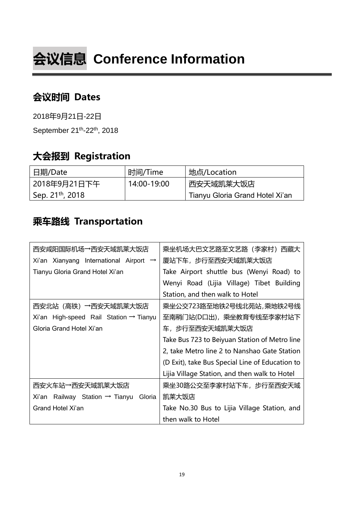# **会议信息 Conference Information**

### **会议时间 Dates**

2018年9月21日-22日

September 21<sup>th</sup>-22<sup>th</sup>, 2018

### **大会报到 Registration**

| 日期/Date                      | 时间/Time     | 」地点/Location                    |
|------------------------------|-------------|---------------------------------|
| 2018年9月21日下午                 | 14:00-19:00 | 西安天域凯莱大饭店                       |
| Sep. 21 <sup>th</sup> , 2018 |             | Tianyu Gloria Grand Hotel Xi'an |

### **乘车路线 Transportation**

| 西安咸阳国际机场→西安天域凯莱大饭店                                   | 乘坐机场大巴文艺路至文艺路(李家村)西藏大                           |  |  |
|------------------------------------------------------|-------------------------------------------------|--|--|
| Xi'an Xianyang International Airport $\rightarrow$   | 厦站下车,步行至西安天域凯莱大饭店                               |  |  |
| Tianyu Gloria Grand Hotel Xi'an                      | Take Airport shuttle bus (Wenyi Road) to        |  |  |
|                                                      | Wenyi Road (Lijia Village) Tibet Building       |  |  |
|                                                      | Station, and then walk to Hotel                 |  |  |
| 西安北站(高铁)→西安天域凯莱大饭店                                   | 乘坐公交723路至地铁2号线北苑站,乘地铁2号线                        |  |  |
| Xi'an High-speed Rail Station $\rightarrow$ Tianyu   | 至南稍门站(D口出),乘坐教育专线至李家村站下                         |  |  |
| Gloria Grand Hotel Xi'an                             | 车, 步行至西 <del>安</del> 天域凯莱大饭店                    |  |  |
|                                                      | Take Bus 723 to Beiyuan Station of Metro line   |  |  |
|                                                      | 2, take Metro line 2 to Nanshao Gate Station    |  |  |
|                                                      | (D Exit), take Bus Special Line of Education to |  |  |
|                                                      | Lijia Village Station, and then walk to Hotel   |  |  |
| 西安火车站→西安天域凯莱大饭店                                      | 乘坐30路公交至李家村站下车,步行至西安天域                          |  |  |
| Xi'an Railway Station $\rightarrow$ Tianyu<br>Gloria | 凯莱大饭店                                           |  |  |
| Grand Hotel Xi'an                                    | Take No.30 Bus to Lijia Village Station, and    |  |  |
|                                                      | then walk to Hotel                              |  |  |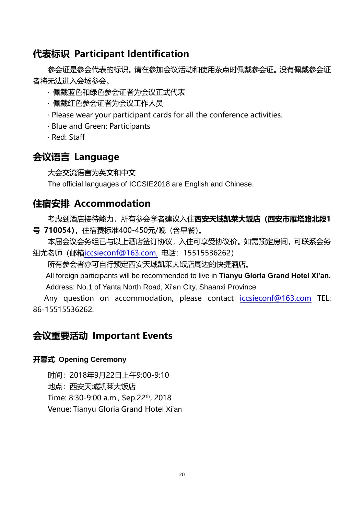### **代表标识 Participant Identification**

参会证是参会代表的标识。请在参加会议活动和使用茶点时佩戴参会证。没有佩戴参会证 者将无法进入会场参会。

- · 佩戴蓝色和绿色参会证者为会议正式代表
- · 佩戴红色参会证者为会议工作人员
- · Please wear your participant cards for all the conference activities.
- · Blue and Green: Participants
- · Red: Staff

### **会议语言 Language**

大会交流语言为英文和中文

The official languages of ICCSIE2018 are English and Chinese.

### **住宿安排 Accommodation**

考虑到酒店接待能力,所有参会学者建议入住**西安天域凯莱大饭店(西安市雁塔路北段1 号 710054),**住宿费标准400-450元/晚(含早餐)。

本届会议会务组已与以上酒店签订协议,入住可享受协议价。如需预定房间,可联系会务 组尤老师 (邮箱iccsieconf@163.com, 电话: 15515536262)

所有参会者亦可自行预定西安天域凯莱大饭店周边的快捷酒店。

All foreign participants will be recommended to live in **Tianyu Gloria Grand Hotel Xi'an.**  Address: No.1 of Yanta North Road, Xi'an City, Shaanxi Province

Any question on accommodation, please contact iccsieconf@163.com TEL: 86-15515536262.

### **会议重要活动 Important Events**

#### **开幕式 Opening Ceremony**

时间:2018年9月22日上午9:00-9:10 地点:西安天域凯莱大饭店 Time: 8:30-9:00 a.m., Sep.22th, 2018 Venue: Tianyu Gloria Grand Hotel Xi'an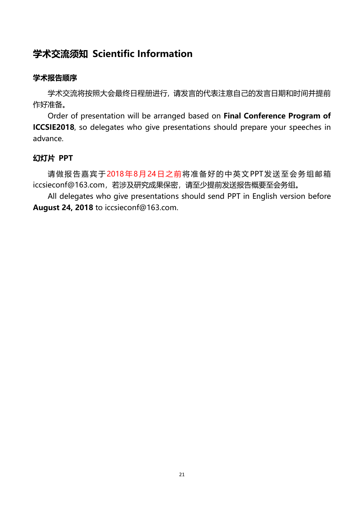### **学术交流须知 Scientific Information**

#### **学术报告顺序**

学术交流将按照大会最终日程册进行, 请发言的代表注意自己的发言日期和时间并提前 作好准备。

Order of presentation will be arranged based on **Final Conference Program of ICCSIE2018**, so delegates who give presentations should prepare your speeches in advance.

#### **幻灯片 PPT**

请做报告嘉宾于2018年8月24日之前将准备好的中英文PPT发送至会务组邮箱 iccsieconf@163.com,若涉及研究成果保密,请至少提前发送报告概要至会务组。

All delegates who give presentations should send PPT in English version before **August 24, 2018** to iccsieconf@163.com.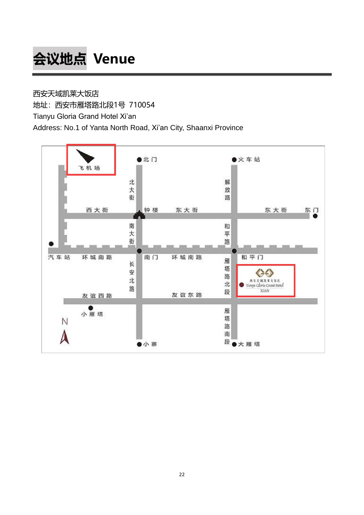# **会议地点 Venue**

西安天域凯莱大饭店 地址:西安市雁塔路北段1号 710054 Tianyu Gloria Grand Hotel Xi'an Address: No.1 of Yanta North Road, Xi'an City, Shaanxi Province

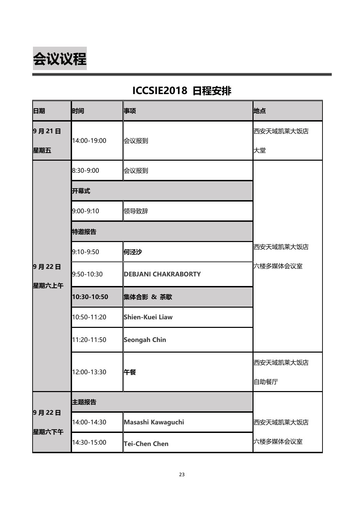

### **ICCSIE2018 日程安排**

| 日期             | 时间          | 事项                         | 地点        |
|----------------|-------------|----------------------------|-----------|
| 9月21日          | 14:00-19:00 |                            | 西安天域凯莱大饭店 |
| 星期五            |             | 会议报到                       | 大堂        |
|                | 8:30-9:00   | 会议报到                       |           |
|                | 开幕式         |                            |           |
|                | 9:00-9:10   | 领导致辞                       |           |
| 9月22日<br>星期六上午 | 特邀报告        |                            |           |
|                | 9:10-9:50   | 何泾沙                        | 西安天域凯莱大饭店 |
|                | 9:50-10:30  | <b>DEBJANI CHAKRABORTY</b> | 六楼多媒体会议室  |
|                | 10:30-10:50 | 集体合影 & 茶歇                  |           |
|                | 10:50-11:20 | Shien-Kuei Liaw            |           |
|                | 11:20-11:50 | <b>Seongah Chin</b>        |           |
|                | 12:00-13:30 |                            | 西安天域凯莱大饭店 |
|                |             | 午餐                         | 自助餐厅      |
| 9月22日<br>星期六下午 | 主题报告        |                            |           |
|                | 14:00-14:30 | Masashi Kawaguchi          | 西安天域凯莱大饭店 |
|                | 14:30-15:00 | <b>Tei-Chen Chen</b>       | 六楼多媒体会议室  |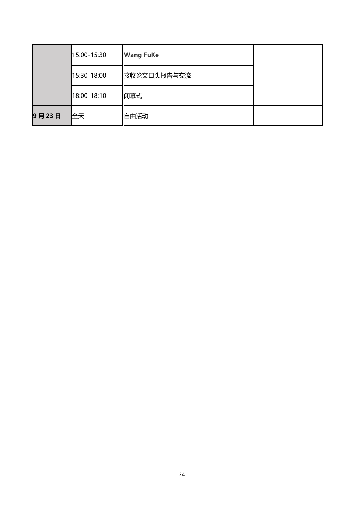|       | 15:00-15:30 | <b>Wang FuKe</b> |  |
|-------|-------------|------------------|--|
|       | 15:30-18:00 | 接收论文口头报告与交流      |  |
|       | 18:00-18:10 | 闭幕式              |  |
| 9月23日 | 全天          | 自由活动             |  |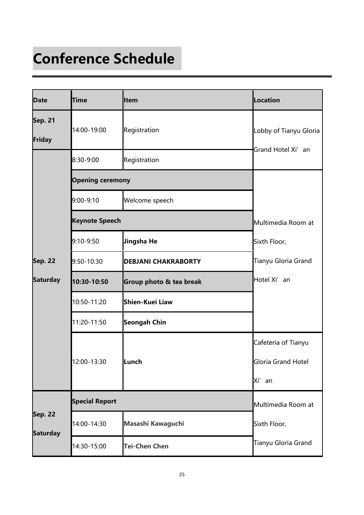# **Conference Schedule**

| <b>Date</b>                       | <b>Time</b>             | <b>Item</b>                | Location                     |
|-----------------------------------|-------------------------|----------------------------|------------------------------|
| <b>Sep. 21</b><br>Friday          | 14:00-19:00             | Registration               | Lobby of Tianyu Gloria       |
|                                   | 8:30-9:00               | Registration               | Grand Hotel Xi' an           |
|                                   | <b>Opening ceremony</b> |                            |                              |
|                                   | 9:00-9:10               | Welcome speech             |                              |
|                                   | <b>Keynote Speech</b>   | Multimedia Room at         |                              |
|                                   | 9:10-9:50               | ∦Jingsha He                | Sixth Floor,                 |
| <b>Sep. 22</b>                    | 9:50-10:30              | <b>DEBJANI CHAKRABORTY</b> | Tianyu Gloria Grand          |
| <b>Saturday</b>                   | 10:30-10:50             | Group photo & tea break    | Hotel Xi' an                 |
|                                   | 10:50-11:20             | Shien-Kuei Liaw            |                              |
|                                   | 11:20-11:50             | Seongah Chin               |                              |
|                                   |                         |                            | Cafeteria of Tianyu          |
|                                   | 12:00-13:30             | Lunch                      | Gloria Grand Hotel<br>Xi' an |
| <b>Sep. 22</b><br><b>Saturday</b> | <b>Special Report</b>   |                            | Multimedia Room at           |
|                                   | 14:00-14:30             | Masashi Kawaguchi          | Sixth Floor,                 |
|                                   | 14:30-15:00             | Tei-Chen Chen              | Tianyu Gloria Grand          |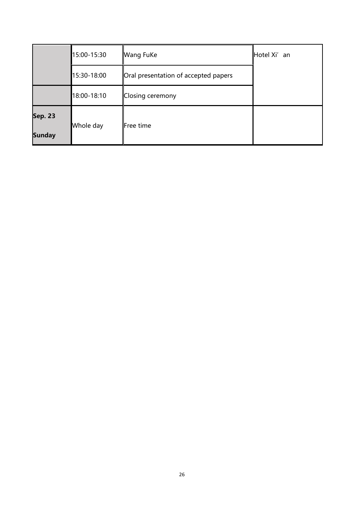|                | 15:00-15:30 | <b>Wang FuKe</b>                     | Hotel Xi' an |
|----------------|-------------|--------------------------------------|--------------|
|                | 15:30-18:00 | Oral presentation of accepted papers |              |
|                | 18:00-18:10 | Closing ceremony                     |              |
| <b>Sep. 23</b> |             | Free time                            |              |
| <b>Sunday</b>  | Whole day   |                                      |              |